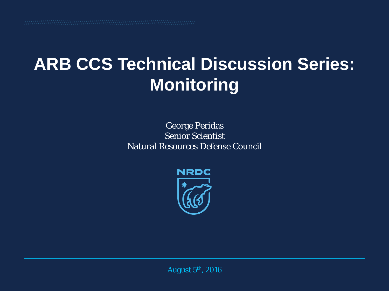#### **ARB CCS Technical Discussion Series: Monitoring**

#### George Peridas Senior Scientist Natural Resources Defense Council



August 5th, 2016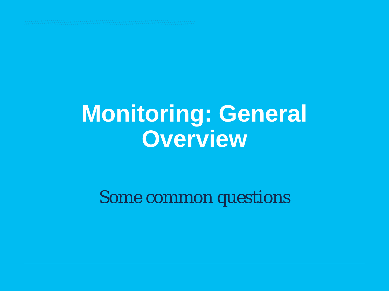### **Monitoring: General Overview**

*Some common questions*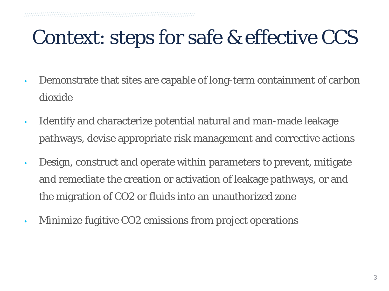#### Context: steps for safe & effective CCS

- Demonstrate that sites are capable of long-term containment of carbon dioxide
- Identify and characterize potential natural and man-made leakage pathways, devise appropriate risk management and corrective actions
- Design, construct and operate within parameters to prevent, mitigate and remediate the creation or activation of leakage pathways, or and the migration of CO2 or fluids into an unauthorized zone
- Minimize fugitive CO2 emissions from project operations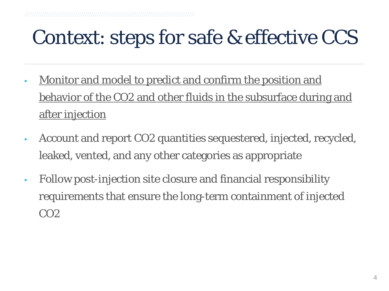#### Context: steps for safe & effective CCS

- Monitor and model to predict and confirm the position and behavior of the CO2 and other fluids in the subsurface during and after injection
- Account and report CO2 quantities sequestered, injected, recycled, leaked, vented, and any other categories as appropriate
- Follow post-injection site closure and financial responsibility requirements that ensure the long-term containment of injected CO2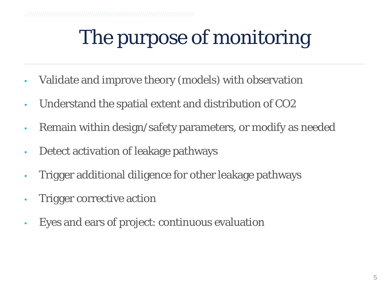# The purpose of monitoring

- Validate and improve theory (models) with observation
- Understand the spatial extent and distribution of CO2
- Remain within design/safety parameters, or modify as needed
- Detect activation of leakage pathways
- Trigger additional diligence for other leakage pathways
- Trigger corrective action
- Eyes and ears of project: continuous evaluation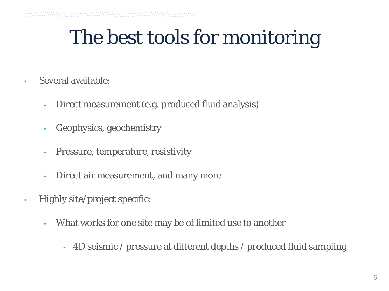### The best tools for monitoring

- Several available:
	- Direct measurement (e.g. produced fluid analysis)
	- Geophysics, geochemistry
	- Pressure, temperature, resistivity
	- Direct air measurement, and many more
- Highly site/project specific:
	- What works for one site may be of limited use to another
		- 4D seismic / pressure at different depths / produced fluid sampling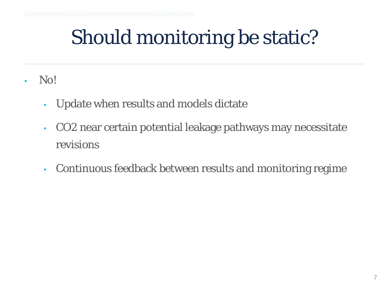# Should monitoring be static?

- No!
	- Update when results and models dictate
	- CO2 near certain potential leakage pathways may necessitate revisions
	- Continuous feedback between results and monitoring regime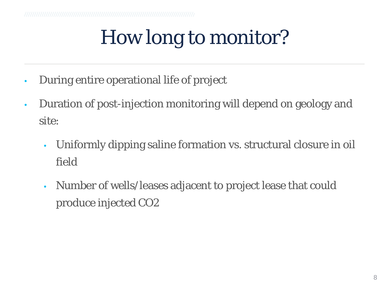# How long to monitor?

- During entire operational life of project
- Duration of post-injection monitoring will depend on geology and site:
	- Uniformly dipping saline formation vs. structural closure in oil field
	- Number of wells/leases adjacent to project lease that could produce injected CO2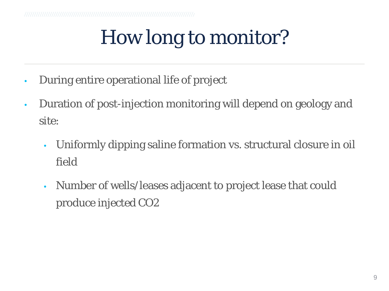# How long to monitor?

- During entire operational life of project
- Duration of post-injection monitoring will depend on geology and site:
	- Uniformly dipping saline formation vs. structural closure in oil field
	- Number of wells/leases adjacent to project lease that could produce injected CO2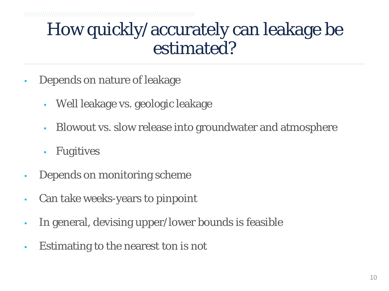#### How quickly/accurately can leakage be estimated?

- Depends on nature of leakage
	- Well leakage vs. geologic leakage
	- Blowout vs. slow release into groundwater and atmosphere
	- Fugitives
- Depends on monitoring scheme
- Can take weeks-years to pinpoint
- In general, devising upper/lower bounds is feasible
- Estimating to the nearest ton is not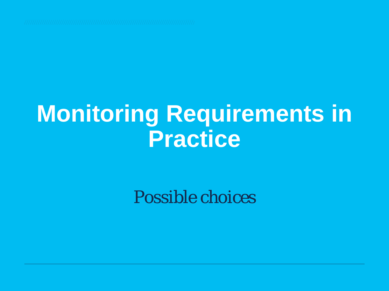# **Monitoring Requirements in Practice**

*Possible choices*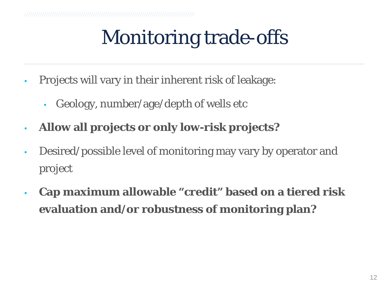# Monitoring trade-offs

- Projects will vary in their inherent risk of leakage:
	- Geology, number/age/depth of wells etc
- **Allow all projects or only low-risk projects?**
- Desired/possible level of monitoring may vary by operator and project
- **Cap maximum allowable "credit" based on a tiered risk evaluation and/or robustness of monitoring plan?**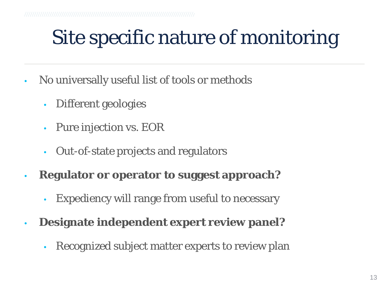### Site specific nature of monitoring

- No universally useful list of tools or methods
	- Different geologies
	- Pure injection vs. EOR
	- Out-of-state projects and regulators
- **Regulator or operator to suggest approach?**
	- Expediency will range from useful to necessary
- **Designate independent expert review panel?**
	- Recognized subject matter experts to review plan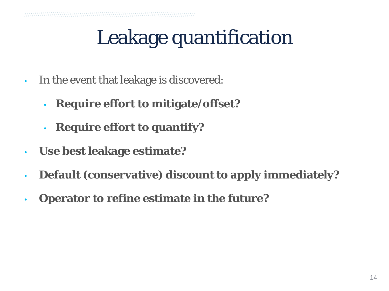# Leakage quantification

- In the event that leakage is discovered:
	- **Require effort to mitigate/offset?**
	- **Require effort to quantify?**
- **Use best leakage estimate?**
- **Default (conservative) discount to apply immediately?**
- **Operator to refine estimate in the future?**